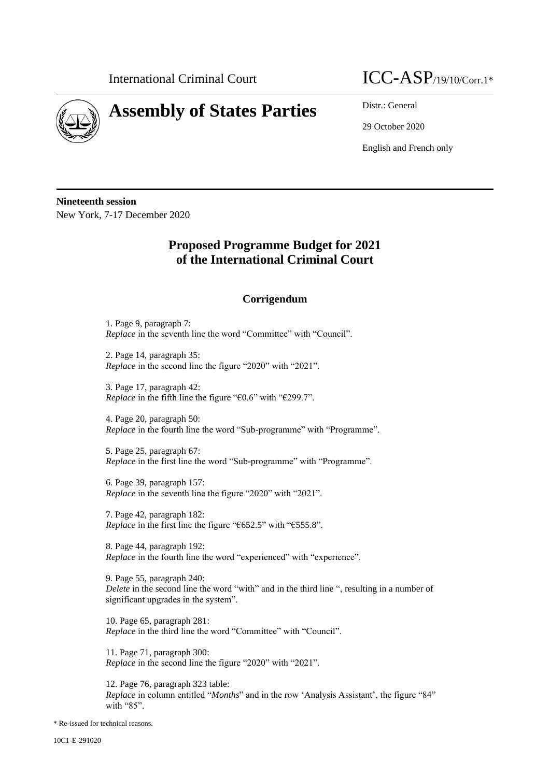

## **Assembly of States Parties** Distr.: General

## International Criminal Court  $\text{ICC-ASP}_{/19/10/Corr.1*}$

29 October 2020

English and French only

**Nineteenth session** New York, 7-17 December 2020

## **Proposed Programme Budget for 2021 of the International Criminal Court**

## **Corrigendum**

1. Page 9, paragraph 7: *Replace* in the seventh line the word "Committee" with "Council".

2. Page 14, paragraph 35: *Replace* in the second line the figure "2020" with "2021".

3. Page 17, paragraph 42: *Replace* in the fifth line the figure "€0.6" with "€299.7".

4. Page 20, paragraph 50: *Replace* in the fourth line the word "Sub-programme" with "Programme".

5. Page 25, paragraph 67: *Replace* in the first line the word "Sub-programme" with "Programme".

6. Page 39, paragraph 157: *Replace* in the seventh line the figure "2020" with "2021".

7. Page 42, paragraph 182: *Replace* in the first line the figure "€652.5" with "€555.8".

8. Page 44, paragraph 192: *Replace* in the fourth line the word "experienced" with "experience".

9. Page 55, paragraph 240: *Delete* in the second line the word "with" and in the third line ", resulting in a number of significant upgrades in the system".

10. Page 65, paragraph 281: *Replace* in the third line the word "Committee" with "Council".

11. Page 71, paragraph 300: *Replace* in the second line the figure "2020" with "2021".

12. Page 76, paragraph 323 table: *Replace* in column entitled "*Months*" and in the row 'Analysis Assistant', the figure "84" with "85".

\* Re-issued for technical reasons.